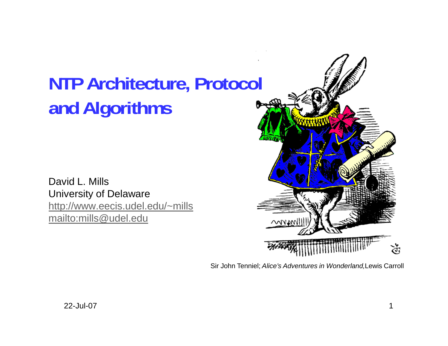# **NTP Architecture, Protocol and Algorithms**

David L. MillsUniversity of Delaware http://www.eecis.udel.edu/~mills mailto:mills@udel.edu



Sir John Tenniel; *Alice's Adventures in Wonderland,*Lewis Carroll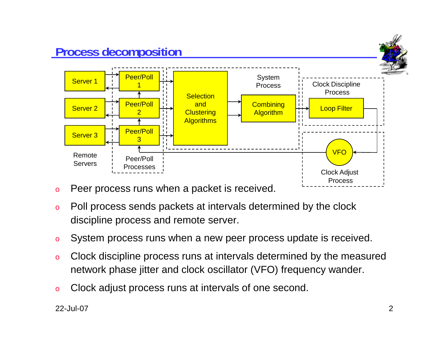

- oPeer process runs when a packet is received.
- o Poll process sends packets at intervals determined by the clock discipline process and remote server.
- oSystem process runs when a new peer process update is received.
- o Clock discipline process runs at intervals determined by the measured network phase jitter and clock oscillator (VFO) frequency wander.
- oClock adjust process runs at intervals of one second.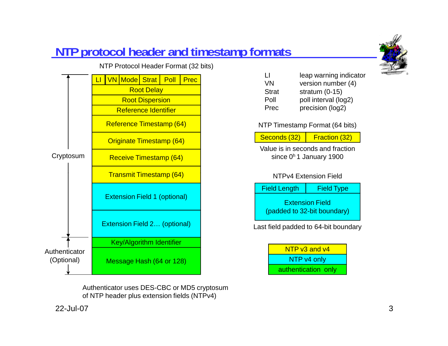# **NTP protocol header and timestamp formats**

NTP Protocol Header Format (32 bits)

LI<u>I I VN Mode Strat Poll</u> Root Delay Root Dispersion Reference IdentifierReference Timestamp (64) Originate Timestamp (64) Receive Timestamp (64) Transmit Timestamp (64) Cryptosum Receive Timestamp  $(64)$   $\blacksquare$  since  $0<sup>h</sup>$  1 January 1900 **Prec** Message Hash (64 or 128) Key/Algorithm Identifier Authenticator(Optional) Extension Field 1 (optional) Extension Field 2… (optional)

> Authenticator uses DES-CBC or MD5 cryptosum of NTP header plus extension fields (NTPv4)



NTP Timestamp Format (64 bits)

Seconds (32) Fraction (32)

Value is in seconds and fraction

#### NTPv4 Extension Field



Last field padded to 64-bit boundary

NTP v3 and v4NTP v4 only authentication only

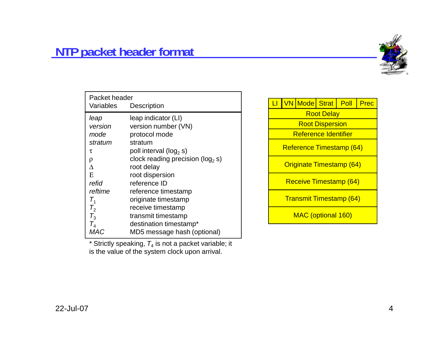

| Packet header<br>Variables<br>Description |                                       |  |  |  |
|-------------------------------------------|---------------------------------------|--|--|--|
| leap                                      | leap indicator (LI)                   |  |  |  |
| version                                   | version number (VN)                   |  |  |  |
| mode                                      | protocol mode                         |  |  |  |
| stratum                                   | stratum                               |  |  |  |
| τ                                         | poll interval ( $log_2 s$ )           |  |  |  |
| ρ                                         | clock reading precision ( $log_2 s$ ) |  |  |  |
| л                                         | root delay                            |  |  |  |
| E                                         | root dispersion                       |  |  |  |
| refid                                     | reference ID                          |  |  |  |
| reftime                                   | reference timestamp                   |  |  |  |
| $T_{1}$                                   | originate timestamp                   |  |  |  |
| $T_{2}$                                   | receive timestamp                     |  |  |  |
| $T_3$                                     | transmit timestamp                    |  |  |  |
| $T_{4}$                                   | destination timestamp*                |  |  |  |
| MAC                                       | MD5 message hash (optional)           |  |  |  |

 $*$  Strictly speaking,  $T_4$  is not a packet variable; it is the value of the system clock upon arrival.

| $\mathsf{L}\mathsf{I}$          |  |  | VN Mode Strat Poll     |  | Prec |
|---------------------------------|--|--|------------------------|--|------|
| <b>Root Delay</b>               |  |  |                        |  |      |
|                                 |  |  | <b>Root Dispersion</b> |  |      |
|                                 |  |  | Reference Identifier   |  |      |
| Reference Timestamp (64)        |  |  |                        |  |      |
| <b>Originate Timestamp (64)</b> |  |  |                        |  |      |
| Receive Timestamp (64)          |  |  |                        |  |      |
| <b>Transmit Timestamp (64)</b>  |  |  |                        |  |      |
| MAC (optional 160)              |  |  |                        |  |      |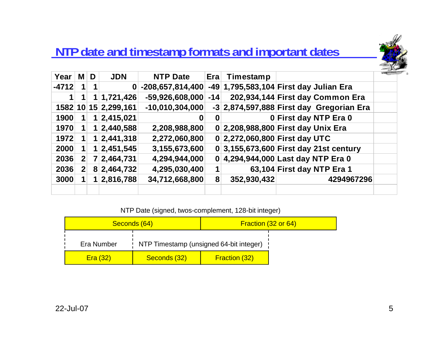## **NTP date and timestamp formats and important dates**



| Year    |              | M D            | <b>JDN</b>   | <b>NTP Date</b>    | Era   | Timestamp   |                                            |  |
|---------|--------------|----------------|--------------|--------------------|-------|-------------|--------------------------------------------|--|
| $-4712$ |              |                | 0            | $-208,657,814,400$ |       |             | -49 1,795,583,104 First day Julian Era     |  |
|         |              |                | 1 1,721,426  | $-59,926,608,000$  | $-14$ |             | 202,934,144 First day Common Era           |  |
| 1582 10 |              |                | 15 2,299,161 | $-10,010,304,000$  |       |             | $-3$ 2,874,597,888 First day Gregorian Era |  |
| 1900    |              | 1              | 2,415,021    | 0                  | 0     |             | 0 First day NTP Era 0                      |  |
| 1970    |              | 1              | 2,440,588    | 2,208,988,800      |       |             | 0 2,208,988,800 First day Unix Era         |  |
| 1972    |              |                | 1 2,441,318  | 2,272,060,800      |       |             | 0 2,272,060,800 First day UTC              |  |
| 2000    |              |                | 1 2,451,545  | 3,155,673,600      |       |             | 0 3,155,673,600 First day 21st century     |  |
| 2036    | $\mathbf{2}$ | $\mathbf{7}$   | 2,464,731    | 4,294,944,000      |       |             | 0 4,294,944,000 Last day NTP Era 0         |  |
| 2036    | $\mathbf{2}$ |                | 8 2,464,732  | 4,295,030,400      |       |             | 63,104 First day NTP Era 1                 |  |
| 3000    |              | 1 <sub>1</sub> | 2,816,788    | 34,712,668,800     | 8     | 352,930,432 | 4294967296                                 |  |
|         |              |                |              |                    |       |             |                                            |  |

NTP Date (signed, twos-complement, 128-bit integer)

|            | Seconds (64)                              | Fraction (32 or 64)  |  |
|------------|-------------------------------------------|----------------------|--|
| Era Number | : NTP Timestamp (unsigned 64-bit integer) |                      |  |
| Era(32)    | Seconds (32)                              | <b>Fraction (32)</b> |  |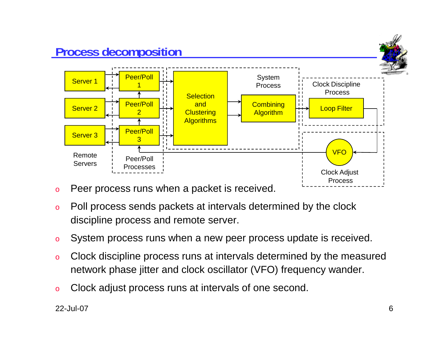

- oPeer process runs when a packet is received.
- o Poll process sends packets at intervals determined by the clock discipline process and remote server.
- oSystem process runs when a new peer process update is received.
- o Clock discipline process runs at intervals determined by the measured network phase jitter and clock oscillator (VFO) frequency wander.
- oClock adjust process runs at intervals of one second.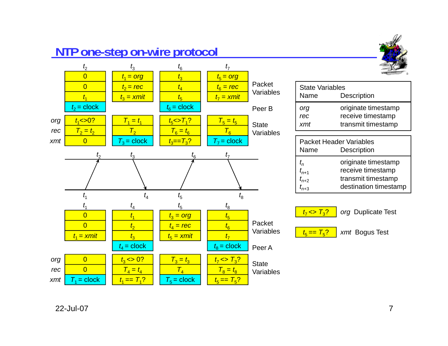### **NTP one-step on-wire protocol**



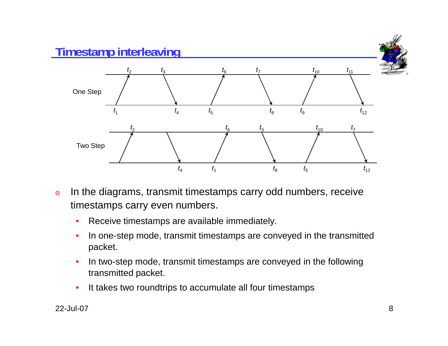

- o In the diagrams, transmit timestamps carry odd numbers, receive timestamps carry even numbers.
	- $\bullet$ Receive timestamps are available immediately.
	- $\bullet$  In one-step mode, transmit timestamps are conveyed in the transmitted packet.
	- • In two-step mode, transmit timestamps are conveyed in the following transmitted packet.
	- •It takes two roundtrips to accumulate all four timestamps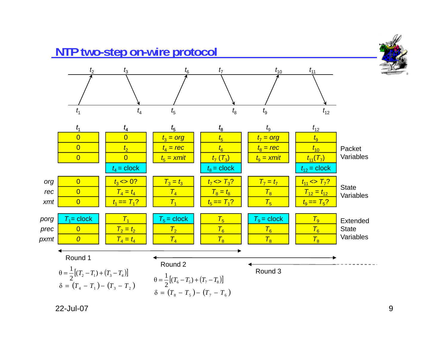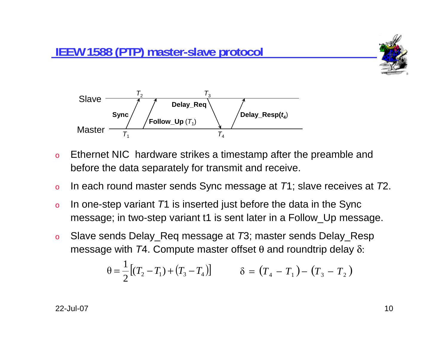



- o Ethernet NIC hardware strikes a timestamp after the preamble and before the data separately for transmit and receive.
- oIn each round master sends Sync message at *T*1; slave receives at *T*2.
- o<sup>o</sup> In one-step variant *T*1 is inserted just before the data in the Sync message; in two-step variant t1 is sent later in a Follow\_Up message.
- o Slave sends Delay\_Req message at *T*3; master sends Delay\_Resp message with *T*4. Compute master offset θ and roundtrip delay δ:

$$
\theta = \frac{1}{2} [(T_2 - T_1) + (T_3 - T_4)] \qquad \delta = (T_4 - T_1) - (T_3 - T_2)
$$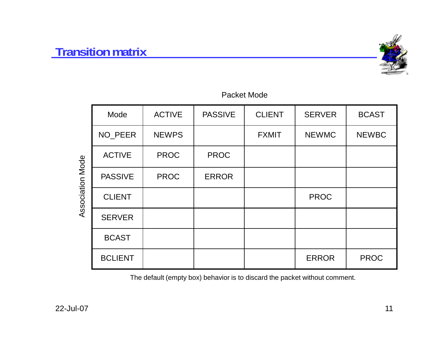#### **Transition matrix**



#### Packet Mode

|                  | Mode           | <b>ACTIVE</b> | <b>PASSIVE</b> | <b>CLIENT</b> | <b>SERVER</b> | <b>BCAST</b> |
|------------------|----------------|---------------|----------------|---------------|---------------|--------------|
|                  | NO_PEER        | <b>NEWPS</b>  |                | <b>FXMIT</b>  | <b>NEWMC</b>  | <b>NEWBC</b> |
|                  | <b>ACTIVE</b>  | <b>PROC</b>   | <b>PROC</b>    |               |               |              |
| Association Mode | <b>PASSIVE</b> | <b>PROC</b>   | <b>ERROR</b>   |               |               |              |
|                  | <b>CLIENT</b>  |               |                |               | <b>PROC</b>   |              |
|                  | <b>SERVER</b>  |               |                |               |               |              |
|                  | <b>BCAST</b>   |               |                |               |               |              |
|                  | <b>BCLIENT</b> |               |                |               | <b>ERROR</b>  | <b>PROC</b>  |

The default (empty box) behavior is to discard the packet without comment.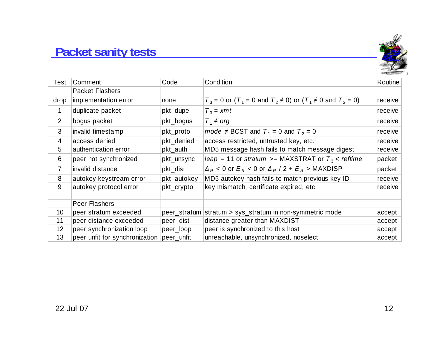# **Packet sanity tests**



| Test           | Comment                        | Code         | Condition                                                                                                         | Routine |
|----------------|--------------------------------|--------------|-------------------------------------------------------------------------------------------------------------------|---------|
|                | <b>Packet Flashers</b>         |              |                                                                                                                   |         |
| drop           | implementation error           | none         | $T_3$ = 0 or (T <sub>1</sub> = 0 and T <sub>2</sub> $\neq$ 0) or (T <sub>1</sub> $\neq$ 0 and T <sub>2</sub> = 0) | receive |
| 1              | duplicate packet               | pkt_dupe     | $T_3 = xmt$                                                                                                       | receive |
| $\overline{2}$ | bogus packet                   | pkt_bogus    | $T_1 \neq \text{org}$                                                                                             | receive |
| 3              | invalid timestamp              | pkt_proto    | mode $\neq$ BCST and $T_1$ = 0 and $T_2$ = 0                                                                      | receive |
| $\overline{4}$ | access denied                  | pkt_denied   | access restricted, untrusted key, etc.                                                                            | receive |
| 5              | authentication error           | pkt_auth     | MD5 message hash fails to match message digest                                                                    | receive |
| 6              | peer not synchronized          | pkt_unsync   | leap = 11 or stratum >= MAXSTRAT or $T_3$ < reftime                                                               | packet  |
| $\overline{7}$ | invalid distance               | pkt_dist     | $\Delta_R$ < 0 or $E_R$ < 0 or $\Delta_R$ / 2 + $E_R$ > MAXDISP                                                   | packet  |
| 8              | autokey keystream error        | pkt_autokey  | MD5 autokey hash fails to match previous key ID                                                                   | receive |
| 9              | autokey protocol error         | pkt_crypto   | key mismatch, certificate expired, etc.                                                                           | receive |
|                | <b>Peer Flashers</b>           |              |                                                                                                                   |         |
| 10             | peer stratum exceeded          | peer_stratum | stratum > sys_stratum in non-symmetric mode                                                                       | accept  |
| 11             | peer distance exceeded         | peer_dist    | distance greater than MAXDIST                                                                                     | accept  |
| 12             | peer synchronization loop      | peer_loop    | peer is synchronized to this host                                                                                 | accept  |
| 13             | peer unfit for synchronization | peer_unfit   | unreachable, unsynchronized, noselect                                                                             | accept  |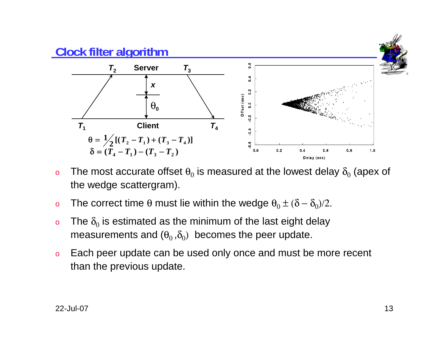

- o $\,$  The most accurate offset  $\theta_0$  is measured at the lowest delay  $\delta_0$  (apex of the wedge scattergram).
- o $\rm o$  The correct time θ must lie within the wedge  $\rm \theta_{0}$   $\pm$  ( $\rm \delta-\delta_{0}$ )/2.
- o $\circ$  The  $\delta_0$  is estimated as the minimum of the last eight delay measurements and  $(\theta_0, \delta_0)$  becomes the peer update.
- o Each peer update can be used only once and must be more recent than the previous update.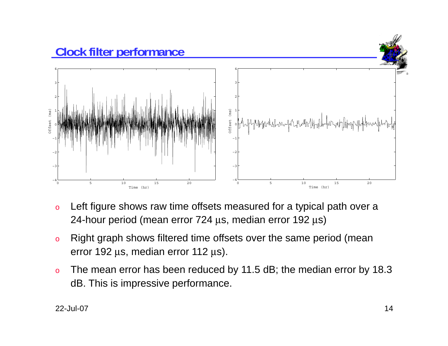

- o Left figure shows raw time offsets measured for a typical path over a 24-hour period (mean error 724 μs, median error 192 μs)
- o Right graph shows filtered time offsets over the same period (mean error 192 μs, median error 112 μs).
- o The mean error has been reduced by 11.5 dB; the median error by 18.3 dB. This is impressive performance.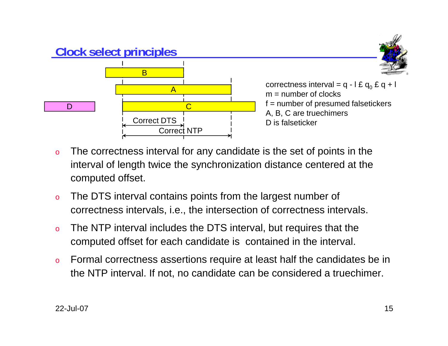

- o The correctness interval for any candidate is the set of points in the interval of length twice the synchronization distance centered at the computed offset.
- o The DTS interval contains points from the largest number of correctness intervals, i.e., the intersection of correctness intervals.
- o The NTP interval includes the DTS interval, but requires that the computed offset for each candidate is contained in the interval.
- o Formal correctness assertions require at least half the candidates be in the NTP interval. If not, no candidate can be considered a truechimer.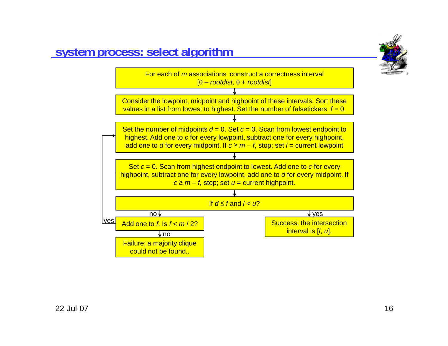

### **system process: select algorithm**

yes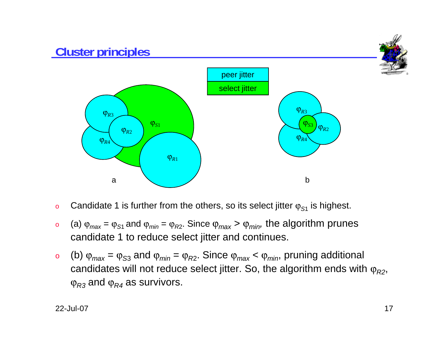

- oCandidate 1 is further from the others, so its select jitter ϕ*<sup>S</sup>*<sup>1</sup> is highest.
- o (a) ϕ*max* <sup>=</sup>ϕ*<sup>S</sup>*1 and ϕ*min* <sup>=</sup>ϕ*<sup>R</sup>*2. Since ϕ*max* <sup>&</sup>gt;ϕ*min,* the algorithm prunes candidate 1 to reduce select jitter and continues.
- o (b) ϕ*max* <sup>=</sup>ϕ*<sup>S</sup>*<sup>3</sup> and ϕ*min* <sup>=</sup>ϕ*<sup>R</sup>*2. Since ϕ*max* <sup>&</sup>lt;ϕ*min*, pruning additional candidates will not reduce select jitter. So, the algorithm ends with  $\varphi_{R2}$ ,  $\operatorname{\phi}_{R3}$  and  $\operatorname{\phi}_{R4}$  as survivors.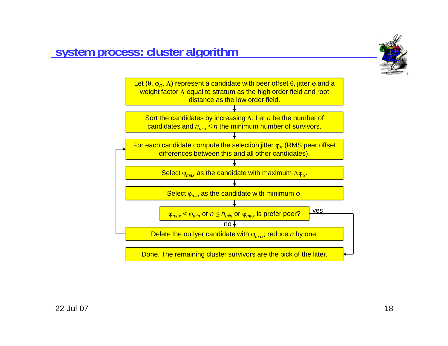



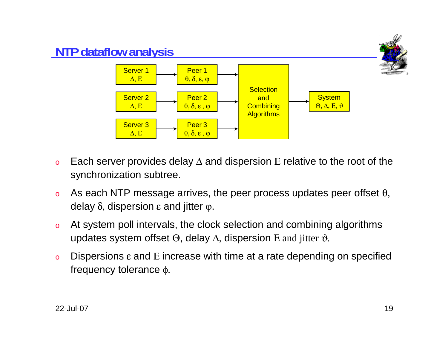

- oEach server provides delay  $\Delta$  and dispersion E relative to the root of the synchronization subtree.
- oAs each NTP message arrives, the peer process updates peer offset  $\theta$ , delay  $\delta$ , dispersion  $ε$  and jitter  $φ$ .
- o At system poll intervals, the clock selection and combining algorithms updates system offset  $\Theta$ , delay  $\Delta$ , dispersion E and jitter  $\vartheta$ .
- oDispersions  $\varepsilon$  and E increase with time at a rate depending on specified frequency tolerance φ.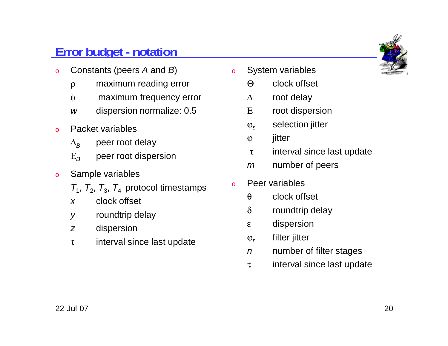# **Error budget - notation**

- o Constants (peers *A* and *B*)
	- ρ maximum reading error
	- φ maximum frequency error
	- *w*dispersion normalize: 0.5
- o Packet variables
	- $\Delta$ *B* peer root delay
	- Ε*B*peer root dispersion
- o Sample variables
	- $T_1$ ,  $T_2$ ,  $T_3$ ,  $T_4$  protocol timestamps
	- *x*clock offset
	- *y* roundtrip delay
	- *z*dispersion
	- <sup>τ</sup> interval since last update
- o System variables
	- Θclock offset
	- Δroot delay
	- Εroot dispersion
	- $\varphi_s$ selection jitter
	- ϕ jitter
	- <sup>τ</sup> interval since last update
	- *m*number of peers
- o Peer variables
	- θclock offset
	- δroundtrip delay
	- <sup>ε</sup> dispersion
	- ϕ*r*filter jitter
	- *n*number of filter stages
	- <sup>τ</sup> interval since last update

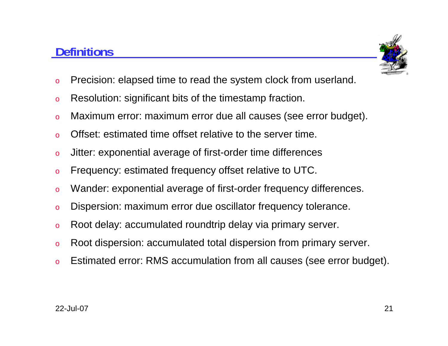## **Definitions**



- oPrecision: elapsed time to read the system clock from userland.
- oResolution: significant bits of the timestamp fraction.
- oMaximum error: maximum error due all causes (see error budget).
- oOffset: estimated time offset relative to the server time.
- oJitter: exponential average of first-order time differences
- oFrequency: estimated frequency offset relative to UTC.
- oWander: exponential average of first-order frequency differences.
- oDispersion: maximum error due oscillator frequency tolerance.
- oRoot delay: accumulated roundtrip delay via primary server.
- oRoot dispersion: accumulated total dispersion from primary server.
- oEstimated error: RMS accumulation from all causes (see error budget).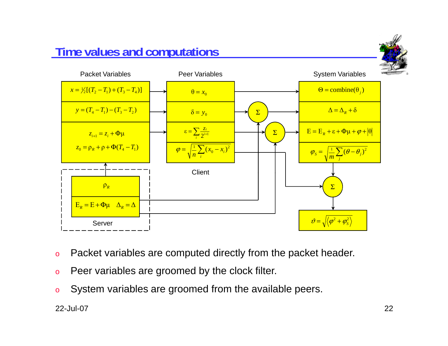# **Time values and computations** Packet Variables Peer VariablesSystem Variables



- oPacket variables are computed directly from the packet header.
- oPeer variables are groomed by the clock filter.
- oSystem variables are groomed from the available peers.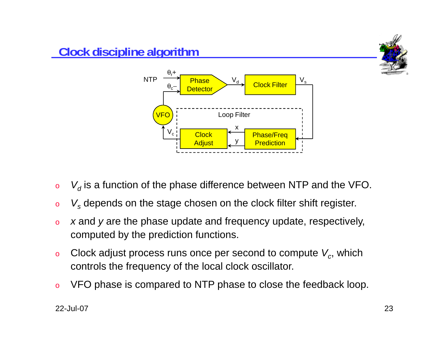

- o $\circ$   $\quad$   $V_d$  is a function of the phase difference between NTP and the VFO.
- o*Vs* depends on the stage chosen on the clock filter shift register.
- o *<sup>x</sup>* and *y* are the phase update and frequency update, respectively, computed by the prediction functions.
- oClock adjust process runs once per second to compute  $V_c$ , which controls the frequency of the local clock oscillator.
- oVFO phase is compared to NTP phase to close the feedback loop.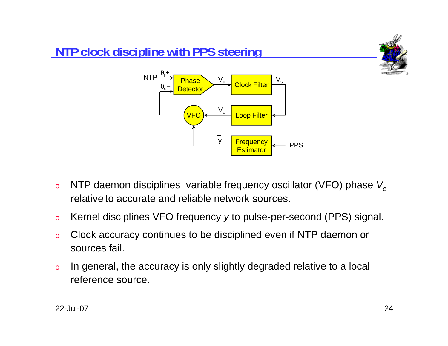

- oNTP daemon disciplines variable frequency oscillator (VFO) phase  $V_c$ relative to accurate and reliable network sources.
- oKernel disciplines VFO frequency *y* to pulse-per-second (PPS) signal.
- o Clock accuracy continues to be disciplined even if NTP daemon or sources fail.
- o In general, the accuracy is only slightly degraded relative to a local reference source.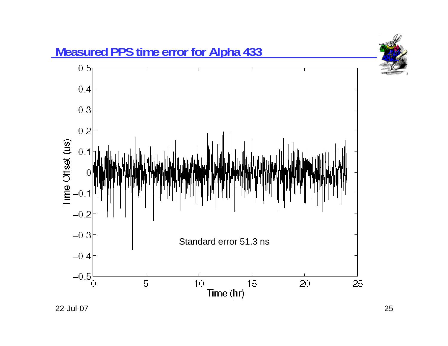